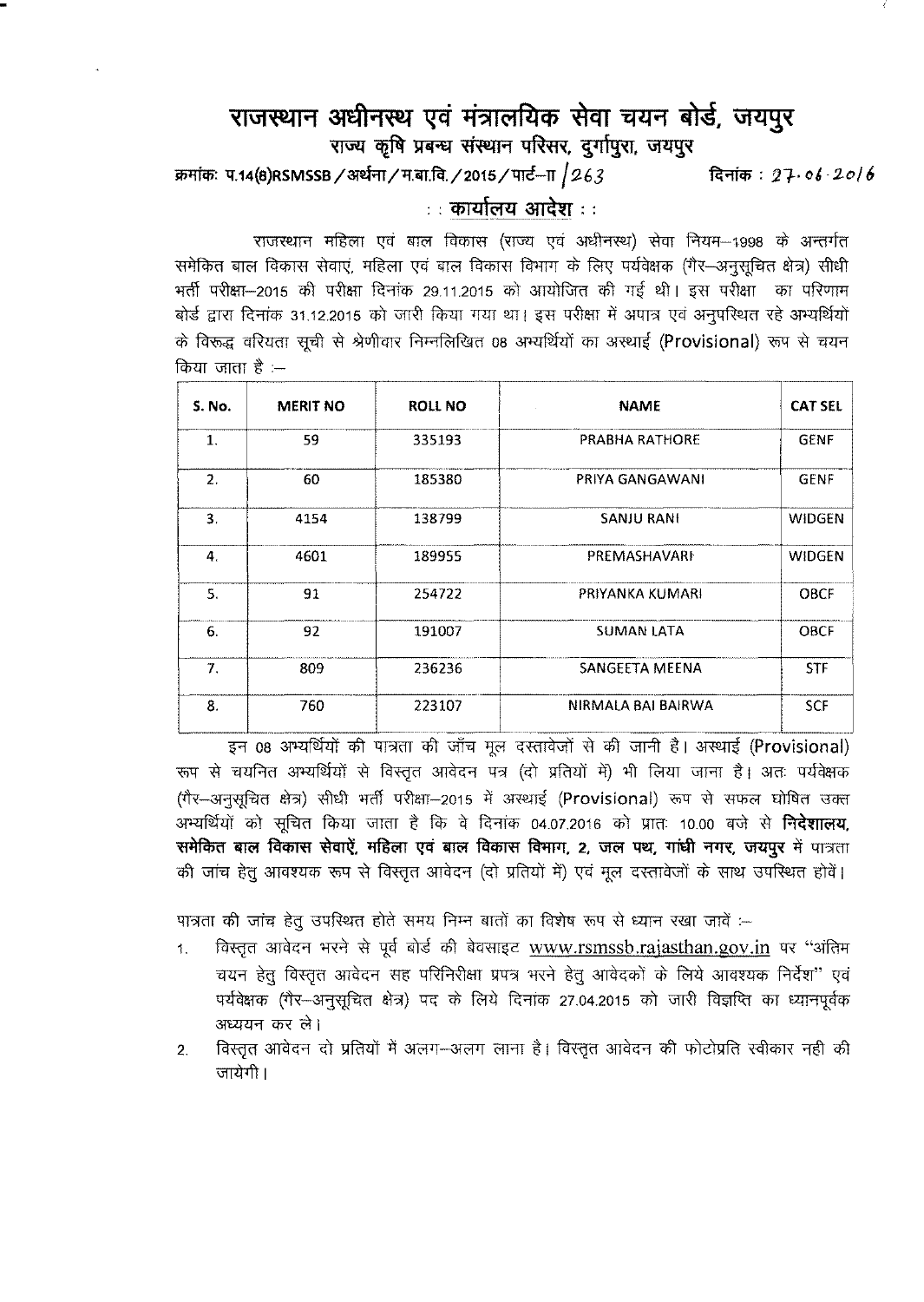## **<sup>~</sup> <sup>~</sup> <sup>~</sup> si?llt"lftict> <sup>~</sup>** *illI~* iJM, U1l1~'<

राज्य कृषि प्रबन्ध संस्थान परिसर, दुर्गापुरा, जयपुर

~: lJ.14(8)RSMSSB/ar.\$rr/lf.~.fct./2015/tni-TT /9-63 ~ : 21· *(J~ ·2-0/6*

 $\therefore$  कार्यालय आदेश  $\therefore$ 

.<br>राजस्थान महिला एवं बाल विकास (राज्य एवं अधीनस्थ) सेवा नियम-1998 के अन्तर्गत xiGeeliन माहला एवं बाल ।वकास (राज्य एवं अधानस्थ) सवा ।नयम—1998 के अन्तगत<br>समेकित बाल विकास सेवाएं, महिला एवं बाल विकास विभाग के लिए पर्यवेक्षक (गैर—अनुसूचित क्षेत्र) सीधी  $+$ र्ती परीक्षा-2015 की परीक्षा दिनांक 29.11.2015 को आयोजित की गई थी। इस परीक्षा का परिणाम बोर्ड द्वारा दिनांक 31.12.2015 को जारी किया गया था। इस परीक्षा में अपात्र एवं अनुपस्थित रहे अभ्यर्थियों के विरूद्ध वरियता सूची से श्रेणीवार निम्नलिखित 08 अभ्यर्थियों का अस्थाई (Provisional) रूप से चयन  $\theta$ किया जाता है :--

| <b>S. No.</b>    | <b>MERIT NO</b> | <b>ROLL NO</b> | <b>NAME</b>           | <b>CAT SEL</b> |
|------------------|-----------------|----------------|-----------------------|----------------|
| 1.               | 59              | 335193         | <b>PRABHA RATHORE</b> | <b>GENF</b>    |
| $\overline{2}$ . | 60              | 185380         | PRIYA GANGAWANI       | <b>GENF</b>    |
| 3.               | 4154            | 138799         | <b>SANJU RANI</b>     | <b>WIDGEN</b>  |
| 4.               | 4601            | 189955         | PREMASHAVARI          | <b>WIDGEN</b>  |
| 5.               | 91              | 254722         | PRIYANKA KUMARI       | <b>OBCF</b>    |
| 6.               | 92              | 191007         | <b>SUMAN LATA</b>     | <b>OBCF</b>    |
| 7.               | 809             | 236236         | SANGEETA MEENA        | <b>STF</b>     |
| 8.               | 760             | 223107         | NIRMALA BAI BAIRWA    | <b>SCF</b>     |

इन 08 अभ्यर्थियों की पात्रता की जाँच मूल दस्तावेजों से की जानी है। अस्थाई (Provisional) रूप से चयनित अभ्यर्थियों से विस्तृत आवेदन पत्र (दो प्रतियों में) भी लिया जाना है। अतः पर्यवेक्षक (गैर-अनुसूचित क्षेत्र) सीधी भर्ती परीक्षा-2015 में अस्थाई (Provisional) रूप से सफल घोषित उक्त अभ्यर्थियों को सूचित किया जाता है कि वे दिनांक 04.07.2016 को प्रातः 10.00 बजे से **निदेशालय.** समेकित बाल विकास सेवाऐं, महिला एवं बाल विकास विमाग, 2, जल पथ, गांधी नगर, जयपुर में पात्रता की जांच हेत् आवश्यक रूप से विस्तृत आवेदन (दो प्रतियों में) एवं मूल दस्तावेजों के साथ उपस्थित होवें।

पात्रता की जांच हेतु उपरिथत होते समय निम्न बातों का विशेष रूप से ध्यान रखा जावें :--

- 1. विस्तृत आवेदन भरने से पूर्व बोर्ड की बेवसाइट [www.rsmssb.rajasthan.gov.in](http://www.rsmssb.rajasthan.gov.in) पर "अंतिम चयन हेतु विस्तृत आवेदन सह परिनिरीक्षा प्रपत्र भरने हेतु आवेदकों के लिये आवश्यक निर्देश" एवं पर्यवेक्षक (गैर-अनुसूचित क्षेत्र) पद के लिये दिनांक 27.04.2015 को जारी विज्ञप्ति का ध्यानपूर्वक अध्ययन कर ले।
- 2. विस्तृत आवेदन दो प्रतियों में अलग-अलग लाना है। विस्तृत आवेदन की फोटोप्रति स्वीकार नही की जायेगी।